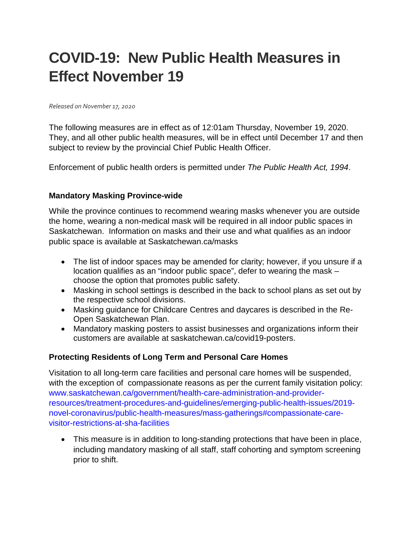# **COVID-19: New Public Health Measures in Effect November 19**

#### *Released on November 17, 2020*

The following measures are in effect as of 12:01am Thursday, November 19, 2020. They, and all other public health measures, will be in effect until December 17 and then subject to review by the provincial Chief Public Health Officer.

Enforcement of public health orders is permitted under *The Public Health Act, 1994*.

#### **Mandatory Masking Province-wide**

While the province continues to recommend wearing masks whenever you are outside the home, wearing a non-medical mask will be required in all indoor public spaces in Saskatchewan. Information on masks and their use and what qualifies as an indoor public space is available at Saskatchewan.ca/masks

- The list of indoor spaces may be amended for clarity; however, if you unsure if a location qualifies as an "indoor public space", defer to wearing the mask – choose the option that promotes public safety.
- Masking in school settings is described in the back to school plans as set out by the respective school divisions.
- Masking guidance for Childcare Centres and daycares is described in the Re-Open Saskatchewan Plan.
- Mandatory masking posters to assist businesses and organizations inform their customers are available at saskatchewan.ca/covid19-posters.

#### **Protecting Residents of Long Term and Personal Care Homes**

Visitation to all long-term care facilities and personal care homes will be suspended, with the exception of compassionate reasons as per the current family visitation policy: [www.saskatchewan.ca/government/health-care-administration-and-provider](http://www.saskatchewan.ca/government/health-care-administration-and-provider-resources/treatment-procedures-and-guidelines/emerging-public-health-issues/2019-novel-coronavirus/public-health-measures/mass-gatherings#compassionate-care-visitor-restrictions-at-sha-facilities)[resources/treatment-procedures-and-guidelines/emerging-public-health-issues/2019](http://www.saskatchewan.ca/government/health-care-administration-and-provider-resources/treatment-procedures-and-guidelines/emerging-public-health-issues/2019-novel-coronavirus/public-health-measures/mass-gatherings#compassionate-care-visitor-restrictions-at-sha-facilities) [novel-coronavirus/public-health-measures/mass-gatherings#compassionate-care](http://www.saskatchewan.ca/government/health-care-administration-and-provider-resources/treatment-procedures-and-guidelines/emerging-public-health-issues/2019-novel-coronavirus/public-health-measures/mass-gatherings#compassionate-care-visitor-restrictions-at-sha-facilities)[visitor-restrictions-at-sha-facilities](http://www.saskatchewan.ca/government/health-care-administration-and-provider-resources/treatment-procedures-and-guidelines/emerging-public-health-issues/2019-novel-coronavirus/public-health-measures/mass-gatherings#compassionate-care-visitor-restrictions-at-sha-facilities)

• This measure is in addition to long-standing protections that have been in place, including mandatory masking of all staff, staff cohorting and symptom screening prior to shift.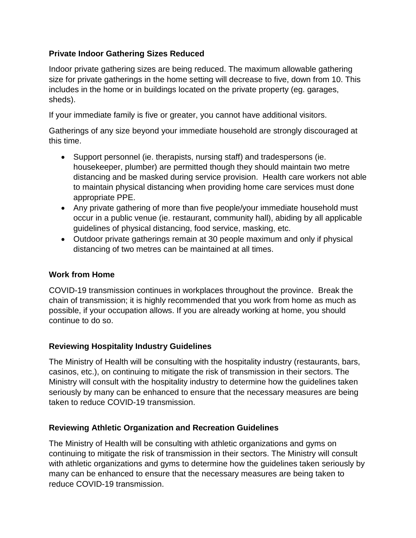# **Private Indoor Gathering Sizes Reduced**

Indoor private gathering sizes are being reduced. The maximum allowable gathering size for private gatherings in the home setting will decrease to five, down from 10. This includes in the home or in buildings located on the private property (eg. garages, sheds).

If your immediate family is five or greater, you cannot have additional visitors.

Gatherings of any size beyond your immediate household are strongly discouraged at this time.

- Support personnel (ie. therapists, nursing staff) and tradespersons (ie. housekeeper, plumber) are permitted though they should maintain two metre distancing and be masked during service provision. Health care workers not able to maintain physical distancing when providing home care services must done appropriate PPE.
- Any private gathering of more than five people/your immediate household must occur in a public venue (ie. restaurant, community hall), abiding by all applicable guidelines of physical distancing, food service, masking, etc.
- Outdoor private gatherings remain at 30 people maximum and only if physical distancing of two metres can be maintained at all times.

# **Work from Home**

COVID-19 transmission continues in workplaces throughout the province. Break the chain of transmission; it is highly recommended that you work from home as much as possible, if your occupation allows. If you are already working at home, you should continue to do so.

# **Reviewing Hospitality Industry Guidelines**

The Ministry of Health will be consulting with the hospitality industry (restaurants, bars, casinos, etc.), on continuing to mitigate the risk of transmission in their sectors. The Ministry will consult with the hospitality industry to determine how the guidelines taken seriously by many can be enhanced to ensure that the necessary measures are being taken to reduce COVID-19 transmission.

# **Reviewing Athletic Organization and Recreation Guidelines**

The Ministry of Health will be consulting with athletic organizations and gyms on continuing to mitigate the risk of transmission in their sectors. The Ministry will consult with athletic organizations and gyms to determine how the guidelines taken seriously by many can be enhanced to ensure that the necessary measures are being taken to reduce COVID-19 transmission.